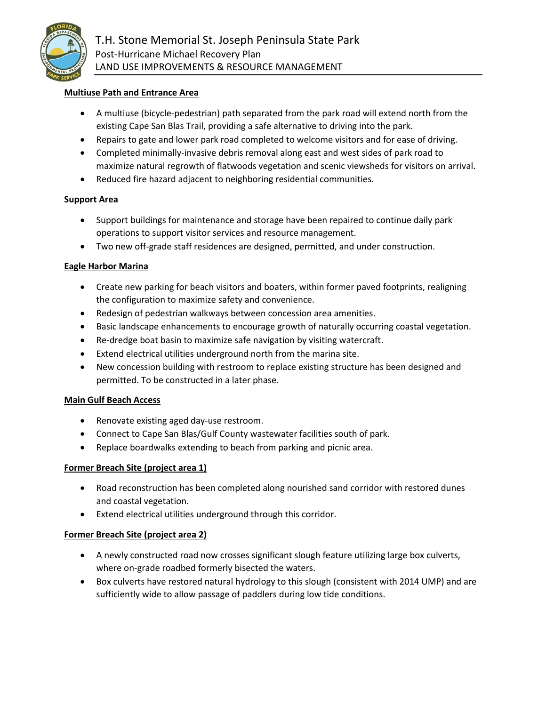

T.H. Stone Memorial St. Joseph Peninsula State Park Post-Hurricane Michael Recovery Plan LAND USE IMPROVEMENTS & RESOURCE MANAGEMENT

# **Multiuse Path and Entrance Area**

- A multiuse (bicycle-pedestrian) path separated from the park road will extend north from the existing Cape San Blas Trail, providing a safe alternative to driving into the park.
- Repairs to gate and lower park road completed to welcome visitors and for ease of driving.
- Completed minimally-invasive debris removal along east and west sides of park road to maximize natural regrowth of flatwoods vegetation and scenic viewsheds for visitors on arrival.
- Reduced fire hazard adjacent to neighboring residential communities.

# **Support Area**

- Support buildings for maintenance and storage have been repaired to continue daily park operations to support visitor services and resource management.
- Two new off-grade staff residences are designed, permitted, and under construction.

# **Eagle Harbor Marina**

- Create new parking for beach visitors and boaters, within former paved footprints, realigning the configuration to maximize safety and convenience.
- Redesign of pedestrian walkways between concession area amenities.
- Basic landscape enhancements to encourage growth of naturally occurring coastal vegetation.
- Re-dredge boat basin to maximize safe navigation by visiting watercraft.
- Extend electrical utilities underground north from the marina site.
- New concession building with restroom to replace existing structure has been designed and permitted. To be constructed in a later phase.

# **Main Gulf Beach Access**

- Renovate existing aged day-use restroom.
- Connect to Cape San Blas/Gulf County wastewater facilities south of park.
- Replace boardwalks extending to beach from parking and picnic area.

# **Former Breach Site (project area 1)**

- Road reconstruction has been completed along nourished sand corridor with restored dunes and coastal vegetation.
- Extend electrical utilities underground through this corridor.

# **Former Breach Site (project area 2)**

- A newly constructed road now crosses significant slough feature utilizing large box culverts, where on-grade roadbed formerly bisected the waters.
- Box culverts have restored natural hydrology to this slough (consistent with 2014 UMP) and are sufficiently wide to allow passage of paddlers during low tide conditions.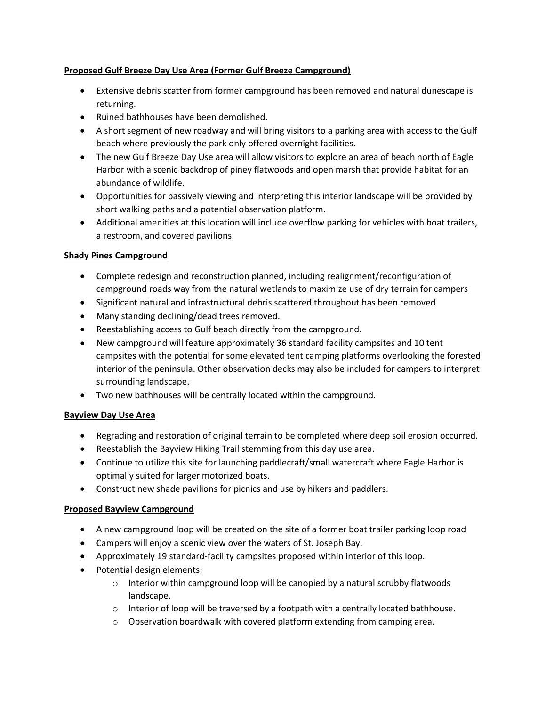# **Proposed Gulf Breeze Day Use Area (Former Gulf Breeze Campground)**

- Extensive debris scatter from former campground has been removed and natural dunescape is returning.
- Ruined bathhouses have been demolished.
- A short segment of new roadway and will bring visitors to a parking area with access to the Gulf beach where previously the park only offered overnight facilities.
- The new Gulf Breeze Day Use area will allow visitors to explore an area of beach north of Eagle Harbor with a scenic backdrop of piney flatwoods and open marsh that provide habitat for an abundance of wildlife.
- Opportunities for passively viewing and interpreting this interior landscape will be provided by short walking paths and a potential observation platform.
- Additional amenities at this location will include overflow parking for vehicles with boat trailers, a restroom, and covered pavilions.

# **Shady Pines Campground**

- Complete redesign and reconstruction planned, including realignment/reconfiguration of campground roads way from the natural wetlands to maximize use of dry terrain for campers
- Significant natural and infrastructural debris scattered throughout has been removed
- Many standing declining/dead trees removed.
- Reestablishing access to Gulf beach directly from the campground.
- New campground will feature approximately 36 standard facility campsites and 10 tent campsites with the potential for some elevated tent camping platforms overlooking the forested interior of the peninsula. Other observation decks may also be included for campers to interpret surrounding landscape.
- Two new bathhouses will be centrally located within the campground.

# **Bayview Day Use Area**

- Regrading and restoration of original terrain to be completed where deep soil erosion occurred.
- Reestablish the Bayview Hiking Trail stemming from this day use area.
- Continue to utilize this site for launching paddlecraft/small watercraft where Eagle Harbor is optimally suited for larger motorized boats.
- Construct new shade pavilions for picnics and use by hikers and paddlers.

# **Proposed Bayview Campground**

- A new campground loop will be created on the site of a former boat trailer parking loop road
- Campers will enjoy a scenic view over the waters of St. Joseph Bay.
- Approximately 19 standard-facility campsites proposed within interior of this loop.
- Potential design elements:
	- $\circ$  Interior within campground loop will be canopied by a natural scrubby flatwoods landscape.
	- $\circ$  Interior of loop will be traversed by a footpath with a centrally located bathhouse.
	- o Observation boardwalk with covered platform extending from camping area.